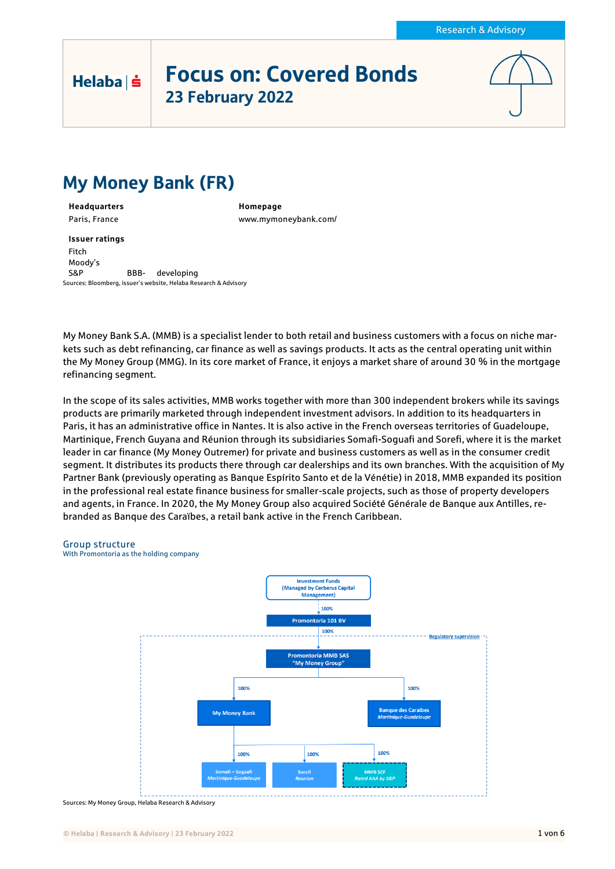# Focus on: Covered Bonds 23 February 2022



# My Money Bank (FR)

**Headquarters Homepage**

Helaba | s

Paris, France www.mymoneybank.com/

**Issuer ratings** Fitch Moody's S&P BBB- developing Sources: Bloomberg, issuer's website, Helaba Research & Advisory

My Money Bank S.A. (MMB) is a specialist lender to both retail and business customers with a focus on niche markets such as debt refinancing, car finance as well as savings products. It acts as the central operating unit within the My Money Group (MMG). In its core market of France, it enjoys a market share of around 30 % in the mortgage refinancing segment.

In the scope of its sales activities, MMB works together with more than 300 independent brokers while its savings products are primarily marketed through independent investment advisors. In addition to its headquarters in Paris, it has an administrative office in Nantes. It is also active in the French overseas territories of Guadeloupe, Martinique, French Guyana and Réunion through its subsidiaries Somafi-Soguafi and Sorefi, where it is the market leader in car finance (My Money Outremer) for private and business customers as well as in the consumer credit segment. It distributes its products there through car dealerships and its own branches. With the acquisition of My Partner Bank (previously operating as Banque Espírito Santo et de la Vénétie) in 2018, MMB expanded its position in the professional real estate finance business for smaller-scale projects, such as those of property developers and agents, in France. In 2020, the My Money Group also acquired Société Générale de Banque aux Antilles, rebranded as Banque des Caraïbes, a retail bank active in the French Caribbean.

#### Group structure

With Promontoria as the holding company



Sources: My Money Group, Helaba Research & Advisory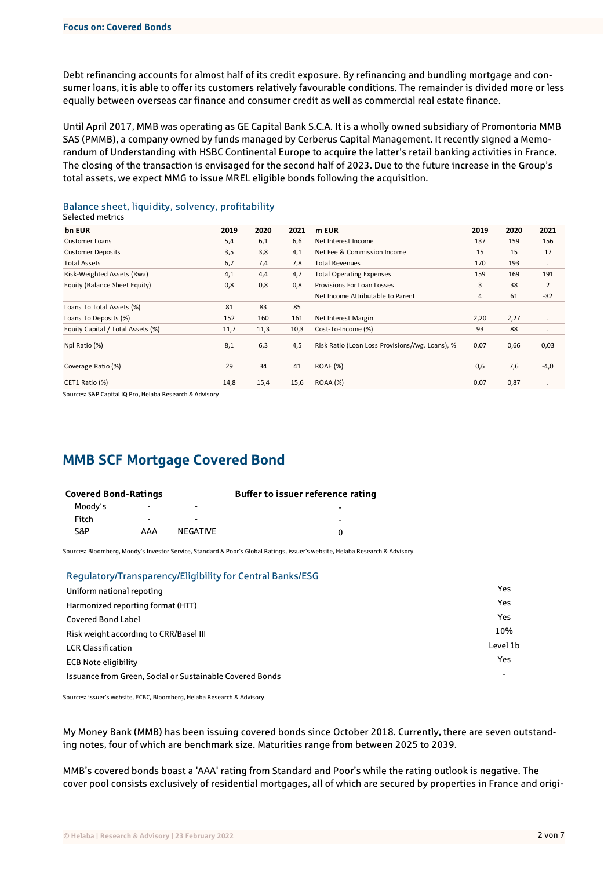Debt refinancing accounts for almost half of its credit exposure. By refinancing and bundling mortgage and consumer loans, it is able to offer its customers relatively favourable conditions. The remainder is divided more or less equally between overseas car finance and consumer credit as well as commercial real estate finance.

Until April 2017, MMB was operating as GE Capital Bank S.C.A. It is a wholly owned subsidiary of Promontoria MMB SAS (PMMB), a company owned by funds managed by Cerberus Capital Management. It recently signed a Memorandum of Understanding with HSBC Continental Europe to acquire the latter's retail banking activities in France. The closing of the transaction is envisaged for the second half of 2023. Due to the future increase in the Group's total assets, we expect MMG to issue MREL eligible bonds following the acquisition.

| bn EUR                            | 2019 | 2020 | 2021 | m EUR                                                   | 2019 | 2020 | 2021    |
|-----------------------------------|------|------|------|---------------------------------------------------------|------|------|---------|
| Customer Loans                    | 5,4  | 6,1  | 6,6  | Net Interest Income                                     | 137  | 159  | 156     |
| <b>Customer Deposits</b>          | 3,5  | 3,8  | 4,1  | Net Fee & Commission Income                             | 15   | 15   | 17      |
| <b>Total Assets</b>               | 6,7  | 7,4  | 7,8  | <b>Total Revenues</b>                                   | 170  | 193  | $\cdot$ |
| Risk-Weighted Assets (Rwa)        | 4,1  | 4,4  | 4,7  | <b>Total Operating Expenses</b>                         | 159  | 169  | 191     |
| Equity (Balance Sheet Equity)     | 0,8  | 0,8  | 0,8  | Provisions For Loan Losses                              | 3    | 38   | 2       |
|                                   |      |      |      | Net Income Attributable to Parent                       | 4    | 61   | $-32$   |
| Loans To Total Assets (%)         | 81   | 83   | 85   |                                                         |      |      |         |
| Loans To Deposits (%)             | 152  | 160  | 161  | Net Interest Margin                                     | 2,20 | 2,27 | ٠       |
| Equity Capital / Total Assets (%) | 11,7 | 11,3 | 10,3 | Cost-To-Income (%)                                      | 93   | 88   | $\cdot$ |
| Npl Ratio (%)                     | 8,1  | 6,3  | 4,5  | Risk Ratio (Loan Loss Provisions/Avg. Loans), %<br>0,07 |      | 0,66 | 0,03    |
| Coverage Ratio (%)                | 29   | 34   | 41   | <b>ROAE</b> (%)                                         | 0,6  | 7,6  | $-4,0$  |
| CET1 Ratio (%)                    | 14,8 | 15,4 | 15,6 | <b>ROAA (%)</b>                                         | 0,07 | 0,87 |         |

#### Balance sheet, liquidity, solvency, profitability Selected metrics

Sources: S&P Capital IQ Pro, Helaba Research & Advisory

## MMB SCF Mortgage Covered Bond

| <b>Covered Bond-Ratings</b> |                |                          | Buffer to issuer reference rating |
|-----------------------------|----------------|--------------------------|-----------------------------------|
| Moody's                     |                | $\overline{\phantom{0}}$ |                                   |
| Fitch                       | $\blacksquare$ | $\overline{\phantom{0}}$ | -                                 |
| S&P                         | AAA            | NFGATIVF                 |                                   |

Sources: Bloomberg, Moody's Investor Service, Standard & Poor's Global Ratings, issuer's website, Helaba Research & Advisory

#### Regulatory/Transparency/Eligibility for Central Banks/ESG

| Uniform national repoting                                | Yes      |
|----------------------------------------------------------|----------|
| Harmonized reporting format (HTT)                        | Yes      |
| <b>Covered Bond Label</b>                                | Yes      |
| Risk weight according to CRR/Basel III                   | 10%      |
| <b>LCR Classification</b>                                | Level 1b |
| <b>ECB Note eligibility</b>                              | Yes      |
| Issuance from Green, Social or Sustainable Covered Bonds | $\,$     |

Sources: issuer's website, ECBC, Bloomberg, Helaba Research & Advisory

My Money Bank (MMB) has been issuing covered bonds since October 2018. Currently, there are seven outstanding notes, four of which are benchmark size. Maturities range from between 2025 to 2039.

MMB's covered bonds boast a 'AAA' rating from Standard and Poor's while the rating outlook is negative. The cover pool consists exclusively of residential mortgages, all of which are secured by properties in France and origi-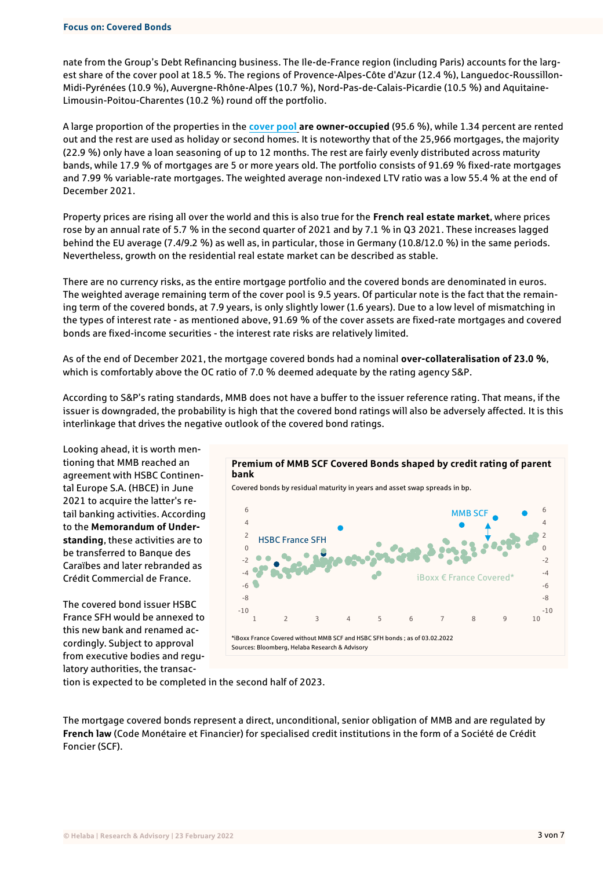#### **Focus on: Covered Bonds**

nate from the Group's Debt Refinancing business. The Ile-de-France region (including Paris) accounts for the largest share of the cover pool at 18.5 %. The regions of Provence-Alpes-Côte d'Azur (12.4 %), Languedoc-Roussillon-Midi-Pyrénées (10.9 %), Auvergne-Rhône-Alpes (10.7 %), Nord-Pas-de-Calais-Picardie (10.5 %) and Aquitaine-Limousin-Poitou-Charentes (10.2 %) round off the portfolio.

A large proportion of the properties in the **[cover pool](https://www.coveredbondlabel.com/issuer/176/) are owner-occupied** (95.6 %), while 1.34 percent are rented out and the rest are used as holiday or second homes. It is noteworthy that of the 25,966 mortgages, the majority (22.9 %) only have a loan seasoning of up to 12 months. The rest are fairly evenly distributed across maturity bands, while 17.9 % of mortgages are 5 or more years old. The portfolio consists of 91.69 % fixed-rate mortgages and 7.99 % variable-rate mortgages. The weighted average non-indexed LTV ratio was a low 55.4 % at the end of December 2021.

Property prices are rising all over the world and this is also true for the **French real estate market**, where prices rose by an annual rate of 5.7 % in the second quarter of 2021 and by 7.1 % in Q3 2021. These increases lagged behind the EU average (7.4/9.2 %) as well as, in particular, those in Germany (10.8/12.0 %) in the same periods. Nevertheless, growth on the residential real estate market can be described as stable.

There are no currency risks, as the entire mortgage portfolio and the covered bonds are denominated in euros. The weighted average remaining term of the cover pool is 9.5 years. Of particular note is the fact that the remaining term of the covered bonds, at 7.9 years, is only slightly lower (1.6 years). Due to a low level of mismatching in the types of interest rate - as mentioned above, 91.69 % of the cover assets are fixed-rate mortgages and covered bonds are fixed-income securities - the interest rate risks are relatively limited.

As of the end of December 2021, the mortgage covered bonds had a nominal **over-collateralisation of 23.0 %**, which is comfortably above the OC ratio of 7.0 % deemed adequate by the rating agency S&P.

According to S&P's rating standards, MMB does not have a buffer to the issuer reference rating. That means, if the issuer is downgraded, the probability is high that the covered bond ratings will also be adversely affected. It is this interlinkage that drives the negative outlook of the covered bond ratings.

Looking ahead, it is worth mentioning that MMB reached an agreement with HSBC Continental Europe S.A. (HBCE) in June 2021 to acquire the latter's retail banking activities. According to the **Memorandum of Understanding**, these activities are to be transferred to Banque des Caraïbes and later rebranded as Crédit Commercial de France.

The covered bond issuer HSBC France SFH would be annexed to this new bank and renamed accordingly. Subject to approval from executive bodies and regulatory authorities, the transac-



tion is expected to be completed in the second half of 2023.

The mortgage covered bonds represent a direct, unconditional, senior obligation of MMB and are regulated by **French law** (Code Monétaire et Financier) for specialised credit institutions in the form of a Société de Crédit Foncier (SCF).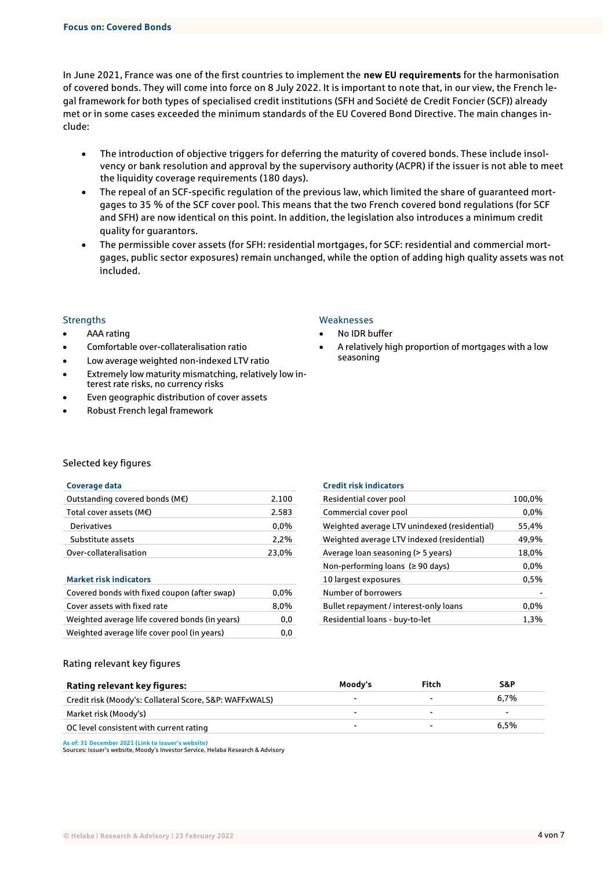In June 2021, France was one of the first countries to implement the **new EU requirements** for the harmonisation of covered bonds. They will come into force on 8 July 2022. It is important to note that, in our view, the French legal framework for both types of specialised credit institutions (SFH and Société de Credit Foncier (SCF)) already met or in some cases exceeded the minimum standards of the EU Covered Bond Directive. The main changes include:

- The introduction of objective triggers for deferring the maturity of covered bonds. These include insolvency or bank resolution and approval by the supervisory authority (ACPR) if the issuer is not able to meet the liquidity coverage requirements (180 days).
- The repeal of an SCF-specific regulation of the previous law, which limited the share of guaranteed mortgages to 35 % of the SCF cover pool. This means that the two French covered bond regulations (for SCF and SFH) are now identical on this point. In addition, the legislation also introduces a minimum credit quality for guarantors.
- The permissible cover assets (for SFH: residential mortgages, for SCF: residential and commercial mortgages, public sector exposures) remain unchanged, while the option of adding high quality assets was not included.

- AAA rating
- Comfortable over-collateralisation ratio
- Low average weighted non-indexed LTV ratio
- Extremely low maturity mismatching, relatively low interest rate risks, no currency risks
- Even geographic distribution of cover assets
- Robust French legal framework

#### Strengths Weaknesses

- No IDR buffer
- A relatively high proportion of mortgages with a low seasoning

#### Selected key figures

#### **Coverage data Credit risk indicators**

| Outstanding covered bonds ( $M\epsilon$ ) | 2.100   | Residential cover pool                       | 100.0% |
|-------------------------------------------|---------|----------------------------------------------|--------|
| Total cover assets ( $M\epsilon$ )        | 2.583   | Commercial cover pool                        | 0.0%   |
| <b>Derivatives</b>                        | $0,0\%$ | Weighted average LTV unindexed (residential) | 55,4%  |
| Substitute assets                         | 2.2%    | Weighted average LTV indexed (residential)   | 49.9%  |
| Over-collateralisation                    | 23,0%   | Average loan seasoning (> 5 years)           | 18,0%  |

#### **Market risk indicators**

| Covered bonds with fixed coupon (after swap)   | $0.0\%$ | Number of borrowers                    |         |
|------------------------------------------------|---------|----------------------------------------|---------|
| Cover assets with fixed rate                   | 8.0%    | Bullet repayment / interest-only loans | $0.0\%$ |
| Weighted average life covered bonds (in years) | 0,0     | Residential loans - buy-to-let         | 1.3%    |
| Weighted average life cover pool (in years)    | 0,0     |                                        |         |

| Citull IISR IIIUKAWIS                        |         |
|----------------------------------------------|---------|
| Residential cover pool                       | 100,0%  |
| Commercial cover pool                        | $0.0\%$ |
| Weighted average LTV unindexed (residential) | 55.4%   |
| Weighted average LTV indexed (residential)   | 49,9%   |
| Average loan seasoning (> 5 years)           | 18,0%   |
| Non-performing loans ( $\geq 90$ days)       | $0.0\%$ |
| 10 largest exposures                         | 0,5%    |
| Number of borrowers                          |         |
| Bullet repayment / interest-only loans       | $0.0\%$ |
| Residential loans - buy-to-let               | 1,3%    |
|                                              |         |

### Rating relevant key figures

| Rating relevant key figures:                            | Moody's | Fitch  | S&P     |
|---------------------------------------------------------|---------|--------|---------|
| Credit risk (Moody's: Collateral Score, S&P: WAFFxWALS) |         |        | $6.7\%$ |
| Market risk (Moody's)                                   | ٠       |        | -       |
| OC level consistent with current rating                 | -       | $\sim$ | $6.5\%$ |
|                                                         |         |        |         |

**As of: 31 December [2021 \(Link to issuer's website\)](https://www.mymoneybank.com/en/organization/investor-reports)**

Sources: issuer's website, Moody's Investor Service, Helaba Research & Advisory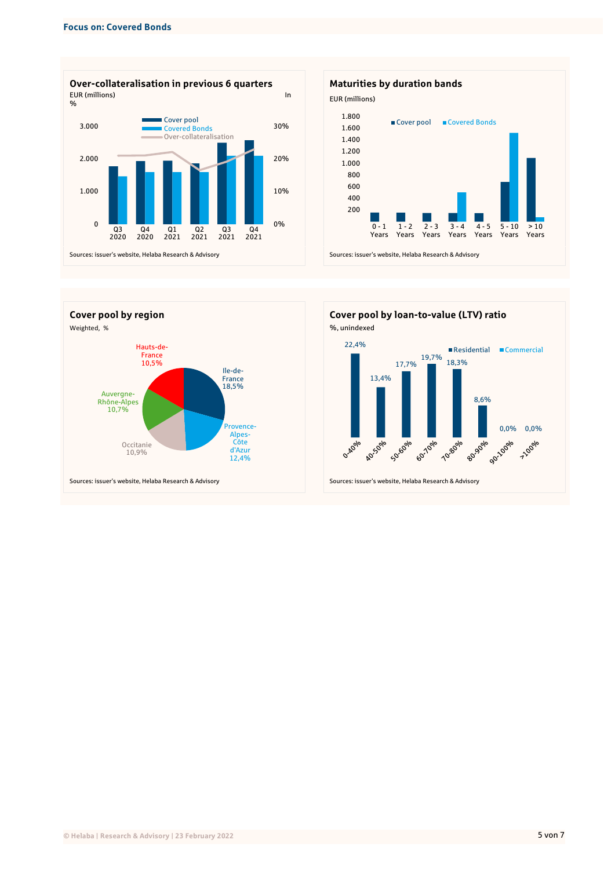





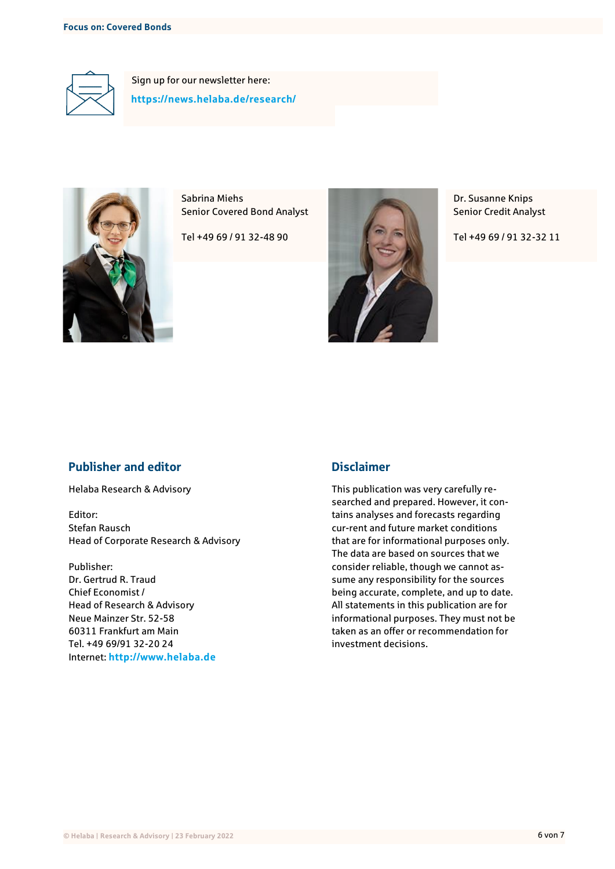

Sign up for our newsletter here: **<https://news.helaba.de/research/>**



Sabrina Miehs Senior Covered Bond Analyst

Tel +49 69 / 91 32-48 90



Dr. Susanne Knips Senior Credit Analyst

Tel +49 69 / 91 32-32 11

### Publisher and editor

Helaba Research & Advisory

Editor: Stefan Rausch Head of Corporate Research & Advisory

Publisher: Dr. Gertrud R. Traud Chief Economist / Head of Research & Advisory Neue Mainzer Str. 52-58 60311 Frankfurt am Main Tel. +49 69/91 32-20 24 Internet: **http://www.helaba.de**

### Disclaimer

This publication was very carefully researched and prepared. However, it contains analyses and forecasts regarding cur-rent and future market conditions that are for informational purposes only. The data are based on sources that we consider reliable, though we cannot assume any responsibility for the sources being accurate, complete, and up to date. All statements in this publication are for informational purposes. They must not be taken as an offer or recommendation for investment decisions.